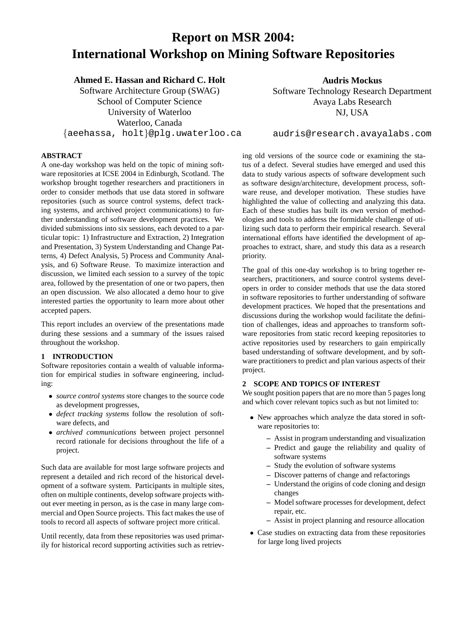# **Report on MSR 2004: International Workshop on Mining Software Repositories**

**Ahmed E. Hassan and Richard C. Holt**

Software Architecture Group (SWAG) School of Computer Science University of Waterloo Waterloo, Canada {aeehassa, holt}@plg.uwaterloo.ca

**Audris Mockus** Software Technology Research Department Avaya Labs Research NJ, USA

audris@research.avayalabs.com

# **ABSTRACT**

A one-day workshop was held on the topic of mining software repositories at ICSE 2004 in Edinburgh, Scotland. The workshop brought together researchers and practitioners in order to consider methods that use data stored in software repositories (such as source control systems, defect tracking systems, and archived project communications) to further understanding of software development practices. We divided submissions into six sessions, each devoted to a particular topic: 1) Infrastructure and Extraction, 2) Integration and Presentation, 3) System Understanding and Change Patterns, 4) Defect Analysis, 5) Process and Community Analysis, and 6) Software Reuse. To maximize interaction and discussion, we limited each session to a survey of the topic area, followed by the presentation of one or two papers, then an open discussion. We also allocated a demo hour to give interested parties the opportunity to learn more about other accepted papers.

This report includes an overview of the presentations made during these sessions and a summary of the issues raised throughout the workshop.

# **1 INTRODUCTION**

Software repositories contain a wealth of valuable information for empirical studies in software engineering, including:

- *source control systems* store changes to the source code as development progresses,
- *defect tracking systems* follow the resolution of software defects, and
- *archived communications* between project personnel record rationale for decisions throughout the life of a project.

Such data are available for most large software projects and represent a detailed and rich record of the historical development of a software system. Participants in multiple sites, often on multiple continents, develop software projects without ever meeting in person, as is the case in many large commercial and Open Source projects. This fact makes the use of tools to record all aspects of software project more critical.

Until recently, data from these repositories was used primarily for historical record supporting activities such as retrieving old versions of the source code or examining the status of a defect. Several studies have emerged and used this data to study various aspects of software development such as software design/architecture, development process, software reuse, and developer motivation. These studies have highlighted the value of collecting and analyzing this data. Each of these studies has built its own version of methodologies and tools to address the formidable challenge of utilizing such data to perform their empirical research. Several international efforts have identified the development of approaches to extract, share, and study this data as a research priority.

The goal of this one-day workshop is to bring together researchers, practitioners, and source control systems developers in order to consider methods that use the data stored in software repositories to further understanding of software development practices. We hoped that the presentations and discussions during the workshop would facilitate the definition of challenges, ideas and approaches to transform software repositories from static record keeping repositories to active repositories used by researchers to gain empirically based understanding of software development, and by software practitioners to predict and plan various aspects of their project.

# **2 SCOPE AND TOPICS OF INTEREST**

We sought position papers that are no more than 5 pages long and which cover relevant topics such as but not limited to:

- New approaches which analyze the data stored in software repositories to:
	- **–** Assist in program understanding and visualization
	- **–** Predict and gauge the reliability and quality of software systems
	- **–** Study the evolution of software systems
	- **–** Discover patterns of change and refactorings
	- **–** Understand the origins of code cloning and design changes
	- **–** Model software processes for development, defect repair, etc.
	- **–** Assist in project planning and resource allocation
- Case studies on extracting data from these repositories for large long lived projects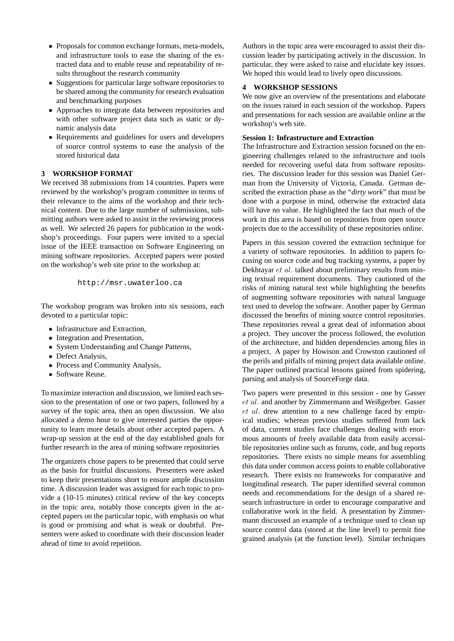- Proposals for common exchange formats, meta-models, and infrastructure tools to ease the sharing of the extracted data and to enable reuse and repeatability of results throughout the research community
- Suggestions for particular large software repositories to be shared among the community for research evaluation and benchmarking purposes
- Approaches to integrate data between repositories and with other software project data such as static or dynamic analysis data
- Requirements and guidelines for users and developers of source control systems to ease the analysis of the stored historical data

# **3 WORKSHOP FORMAT**

We received 38 submissions from 14 countries. Papers were reviewed by the workshop's program committee in terms of their relevance to the aims of the workshop and their technical content. Due to the large number of submissions, submitting authors were asked to assist in the reviewing process as well. We selected 26 papers for publication in the workshop's proceedings. Four papers were invited to a special issue of the IEEE transaction on Software Engineering on mining software repositories. Accepted papers were posted on the workshop's web site prior to the workshop at:

http://msr.uwaterloo.ca

The workshop program was broken into six sessions, each devoted to a particular topic:

- Infrastructure and Extraction,
- Integration and Presentation,
- System Understanding and Change Patterns,
- Defect Analysis,
- Process and Community Analysis,
- Software Reuse.

To maximize interaction and discussion, we limited each session to the presentation of one or two papers, followed by a survey of the topic area, then an open discussion. We also allocated a demo hour to give interested parties the opportunity to learn more details about other accepted papers. A wrap-up session at the end of the day established goals for further research in the area of mining software repositories

The organizers chose papers to be presented that could serve as the basis for fruitful discussions. Presenters were asked to keep their presentations short to ensure ample discussion time. A discussion leader was assigned for each topic to provide a (10-15 minutes) critical review of the key concepts in the topic area, notably those concepts given in the accepted papers on the particular topic, with emphasis on what is good or promising and what is weak or doubtful. Presenters were asked to coordinate with their discussion leader ahead of time to avoid repetition.

Authors in the topic area were encouraged to assist their discussion leader by participating actively in the discussion. In particular, they were asked to raise and elucidate key issues. We hoped this would lead to lively open discussions.

# **4 WORKSHOP SESSIONS**

We now give an overview of the presentations and elaborate on the issues raised in each session of the workshop. Papers and presentations for each session are available online at the workshop's web site.

# **Session 1: Infrastructure and Extraction**

The Infrastructure and Extraction session focused on the engineering challenges related to the infrastructure and tools needed for recovering useful data from software repositories. The discussion leader for this session was Daniel German from the University of Victoria, Canada. German described the extraction phase as the "*dirty work*" that must be done with a purpose in mind, otherwise the extracted data will have no value. He highlighted the fact that much of the work in this area is based on repositories from open source projects due to the accessibility of these repositories online.

Papers in this session covered the extraction technique for a variety of software repositories. In addition to papers focusing on source code and bug tracking systems, a paper by Dekhtayar et al. talked about preliminary results from mining textual requirement documents. They cautioned of the risks of mining natural text while highlighting the benefits of augmenting software repositories with natural language text used to develop the software. Another paper by German discussed the benefits of mining source control repositories. These repositories reveal a great deal of information about a project. They uncover the process followed, the evolution of the architecture, and hidden dependencies among files in a project. A paper by Howison and Crowston cautioned of the perils and pitfalls of mining project data available online. The paper outlined practical lessons gained from spidering, parsing and analysis of SourceForge data.

Two papers were presented in this session - one by Gasser et al. and another by Zimmermann and Weißgerber. Gasser et al. drew attention to a new challenge faced by empirical studies; whereas previous studies suffered from lack of data, current studies face challenges dealing with enormous amounts of freely available data from easily accessible repositories online such as forums, code, and bug reports repositories. There exists no simple means for assembling this data under common access points to enable collaborative research. There exists no frameworks for comparative and longitudinal research. The paper identified several common needs and recommendations for the design of a shared research infrastructure in order to encourage comparative and collaborative work in the field. A presentation by Zimmermann discussed an example of a technique used to clean up source control data (stored at the line level) to permit fine grained analysis (at the function level). Similar techniques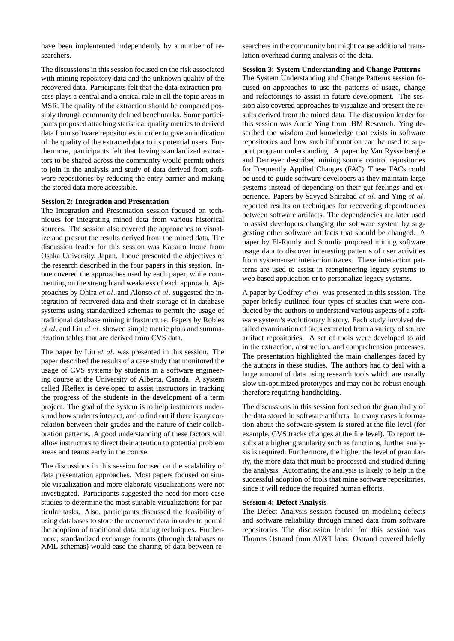have been implemented independently by a number of researchers.

The discussions in this session focused on the risk associated with mining repository data and the unknown quality of the recovered data. Participants felt that the data extraction process plays a central and a critical role in all the topic areas in MSR. The quality of the extraction should be compared possibly through community defined benchmarks. Some participants proposed attaching statistical quality metrics to derived data from software repositories in order to give an indication of the quality of the extracted data to its potential users. Furthermore, participants felt that having standardized extractors to be shared across the community would permit others to join in the analysis and study of data derived from software repositories by reducing the entry barrier and making the stored data more accessible.

#### **Session 2: Integration and Presentation**

The Integration and Presentation session focused on techniques for integrating mined data from various historical sources. The session also covered the approaches to visualize and present the results derived from the mined data. The discussion leader for this session was Katsuro Inoue from Osaka University, Japan. Inoue presented the objectives of the research described in the four papers in this session. Inoue covered the approaches used by each paper, while commenting on the strength and weakness of each approach. Approaches by Ohira et al. and Alonso et al. suggested the integration of recovered data and their storage of in database systems using standardized schemas to permit the usage of traditional database mining infrastructure. Papers by Robles et al. and Liu et al. showed simple metric plots and summarization tables that are derived from CVS data.

The paper by Liu *et al.* was presented in this session. The paper described the results of a case study that monitored the usage of CVS systems by students in a software engineering course at the University of Alberta, Canada. A system called JReflex is developed to assist instructors in tracking the progress of the students in the development of a term project. The goal of the system is to help instructors understand how students interact, and to find out if there is any correlation between their grades and the nature of their collaboration patterns. A good understanding of these factors will allow instructors to direct their attention to potential problem areas and teams early in the course.

The discussions in this session focused on the scalability of data presentation approaches. Most papers focused on simple visualization and more elaborate visualizations were not investigated. Participants suggested the need for more case studies to determine the most suitable visualizations for particular tasks. Also, participants discussed the feasibility of using databases to store the recovered data in order to permit the adoption of traditional data mining techniques. Furthermore, standardized exchange formats (through databases or XML schemas) would ease the sharing of data between researchers in the community but might cause additional translation overhead during analysis of the data.

### **Session 3: System Understanding and Change Patterns**

The System Understanding and Change Patterns session focused on approaches to use the patterns of usage, change and refactorings to assist in future development. The session also covered approaches to visualize and present the results derived from the mined data. The discussion leader for this session was Annie Ying from IBM Research. Ying described the wisdom and knowledge that exists in software repositories and how such information can be used to support program understanding. A paper by Van Rysselberghe and Demeyer described mining source control repositories for Frequently Applied Changes (FAC). These FACs could be used to guide software developers as they maintain large systems instead of depending on their gut feelings and experience. Papers by Sayyad Shirabad et al. and Ying et al. reported results on techniques for recovering dependencies between software artifacts. The dependencies are later used to assist developers changing the software system by suggesting other software artifacts that should be changed. A paper by El-Ramly and Stroulia proposed mining software usage data to discover interesting patterns of user activities from system-user interaction traces. These interaction patterns are used to assist in reengineering legacy systems to web based application or to personalize legacy systems.

A paper by Godfrey et al. was presented in this session. The paper briefly outlined four types of studies that were conducted by the authors to understand various aspects of a software system's evolutionary history. Each study involved detailed examination of facts extracted from a variety of source artifact repositories. A set of tools were developed to aid in the extraction, abstraction, and comprehension processes. The presentation highlighted the main challenges faced by the authors in these studies. The authors had to deal with a large amount of data using research tools which are usually slow un-optimized prototypes and may not be robust enough therefore requiring handholding.

The discussions in this session focused on the granularity of the data stored in software artifacts. In many cases information about the software system is stored at the file level (for example, CVS tracks changes at the file level). To report results at a higher granularity such as functions, further analysis is required. Furthermore, the higher the level of granularity, the more data that must be processed and studied during the analysis. Automating the analysis is likely to help in the successful adoption of tools that mine software repositories, since it will reduce the required human efforts.

#### **Session 4: Defect Analysis**

The Defect Analysis session focused on modeling defects and software reliability through mined data from software repositories The discussion leader for this session was Thomas Ostrand from AT&T labs. Ostrand covered briefly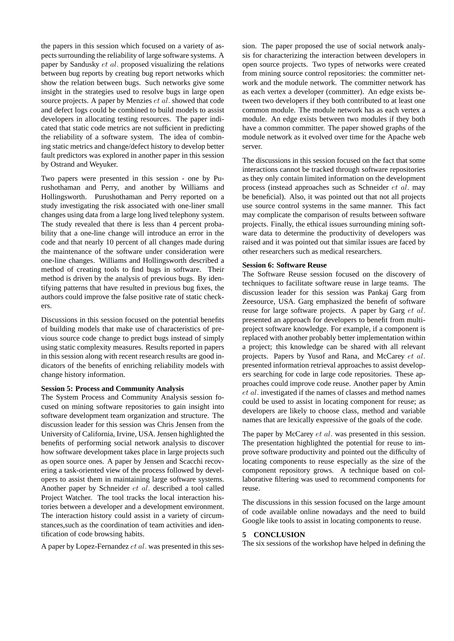the papers in this session which focused on a variety of aspects surrounding the reliability of large software systems. A paper by Sandusky et al. proposed visualizing the relations between bug reports by creating bug report networks which show the relation between bugs. Such networks give some insight in the strategies used to resolve bugs in large open source projects. A paper by Menzies et al. showed that code and defect logs could be combined to build models to assist developers in allocating testing resources. The paper indicated that static code metrics are not sufficient in predicting the reliability of a software system. The idea of combining static metrics and change/defect history to develop better fault predictors was explored in another paper in this session by Ostrand and Weyuker.

Two papers were presented in this session - one by Purushothaman and Perry, and another by Williams and Hollingsworth. Purushothaman and Perry reported on a study investigating the risk associated with one-liner small changes using data from a large long lived telephony system. The study revealed that there is less than 4 percent probability that a one-line change will introduce an error in the code and that nearly 10 percent of all changes made during the maintenance of the software under consideration were one-line changes. Williams and Hollingsworth described a method of creating tools to find bugs in software. Their method is driven by the analysis of previous bugs. By identifying patterns that have resulted in previous bug fixes, the authors could improve the false positive rate of static checkers.

Discussions in this session focused on the potential benefits of building models that make use of characteristics of previous source code change to predict bugs instead of simply using static complexity measures. Results reported in papers in this session along with recent research results are good indicators of the benefits of enriching reliability models with change history information.

## **Session 5: Process and Community Analysis**

The System Process and Community Analysis session focused on mining software repositories to gain insight into software development team organization and structure. The discussion leader for this session was Chris Jensen from the University of California, Irvine, USA. Jensen highlighted the benefits of performing social network analysis to discover how software development takes place in large projects such as open source ones. A paper by Jensen and Scacchi recovering a task-oriented view of the process followed by developers to assist them in maintaining large software systems. Another paper by Schneider et al. described a tool called Project Watcher. The tool tracks the local interaction histories between a developer and a development environment. The interaction history could assist in a variety of circumstances,such as the coordination of team activities and identification of code browsing habits.

A paper by Lopez-Fernandez et al. was presented in this ses-

sion. The paper proposed the use of social network analysis for characterizing the interaction between developers in open source projects. Two types of networks were created from mining source control repositories: the committer network and the module network. The committer network has as each vertex a developer (committer). An edge exists between two developers if they both contributed to at least one common module. The module network has as each vertex a module. An edge exists between two modules if they both have a common committer. The paper showed graphs of the module network as it evolved over time for the Apache web server.

The discussions in this session focused on the fact that some interactions cannot be tracked through software repositories as they only contain limited information on the development process (instead approaches such as Schneider et al. may be beneficial). Also, it was pointed out that not all projects use source control systems in the same manner. This fact may complicate the comparison of results between software projects. Finally, the ethical issues surrounding mining software data to determine the productivity of developers was raised and it was pointed out that similar issues are faced by other researchers such as medical researchers.

## **Session 6: Software Reuse**

The Software Reuse session focused on the discovery of techniques to facilitate software reuse in large teams. The discussion leader for this session was Pankaj Garg from Zeesource, USA. Garg emphasized the benefit of software reuse for large software projects. A paper by Garg et al. presented an approach for developers to benefit from multiproject software knowledge. For example, if a component is replaced with another probably better implementation within a project; this knowledge can be shared with all relevant projects. Papers by Yusof and Rana, and McCarey et al. presented information retrieval approaches to assist developers searching for code in large code repositories. These approaches could improve code reuse. Another paper by Amin et al. investigated if the names of classes and method names could be used to assist in locating component for reuse; as developers are likely to choose class, method and variable names that are lexically expressive of the goals of the code.

The paper by McCarey *et al.* was presented in this session. The presentation highlighted the potential for reuse to improve software productivity and pointed out the difficulty of locating components to reuse especially as the size of the component repository grows. A technique based on collaborative filtering was used to recommend components for reuse.

The discussions in this session focused on the large amount of code available online nowadays and the need to build Google like tools to assist in locating components to reuse.

## **5 CONCLUSION**

The six sessions of the workshop have helped in defining the